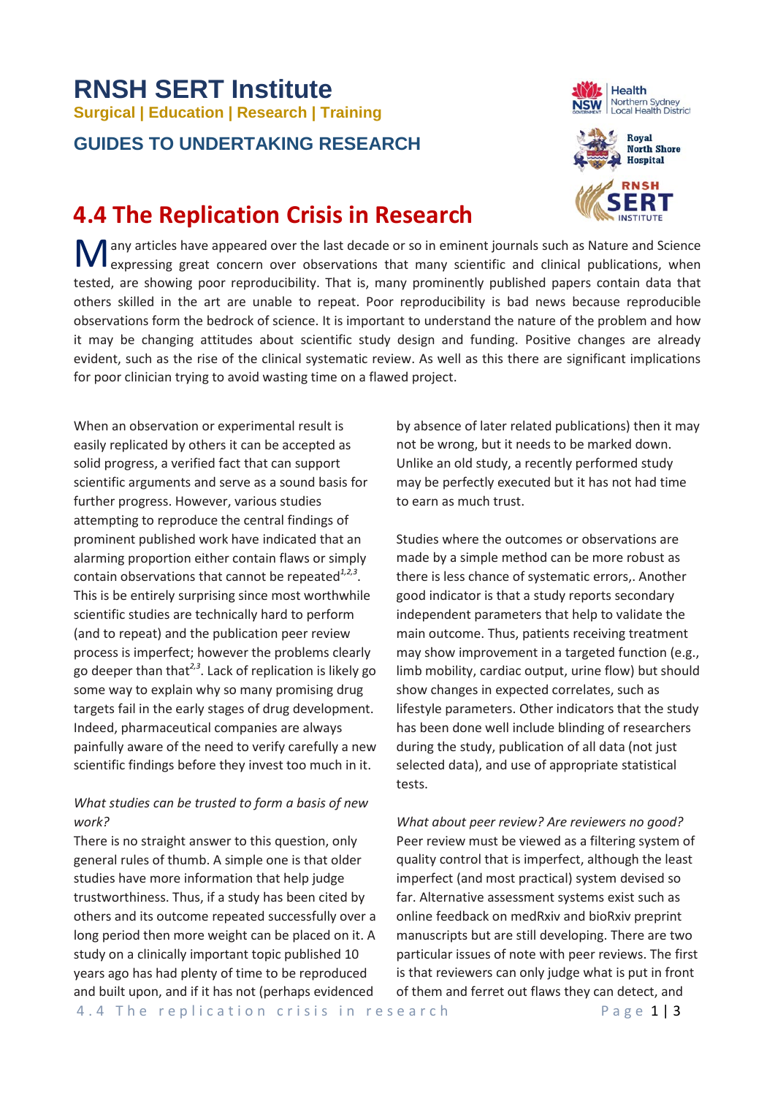# **RNSH SERT Institute Surgical | Education | Research | Training GUIDES TO UNDERTAKING RESEARCH**

# **4.4 The Replication Crisis in Research**

**M** any articles have appeared over the last decade or so in eminent journals such as Nature and Science expressing great concern over observations that many scientific and clinical publications, when expressing great concern over observations that many scientific and clinical publications, when tested, are showing poor reproducibility. That is, many prominently published papers contain data that others skilled in the art are unable to repeat. Poor reproducibility is bad news because reproducible observations form the bedrock of science. It is important to understand the nature of the problem and how it may be changing attitudes about scientific study design and funding. Positive changes are already evident, such as the rise of the clinical systematic review. As well as this there are significant implications for poor clinician trying to avoid wasting time on a flawed project.

When an observation or experimental result is easily replicated by others it can be accepted as solid progress, a verified fact that can support scientific arguments and serve as a sound basis for further progress. However, various studies attempting to reproduce the central findings of prominent published work have indicated that an alarming proportion either contain flaws or simply contain observations that cannot be repeated*1,2,3*. This is be entirely surprising since most worthwhile scientific studies are technically hard to perform (and to repeat) and the publication peer review process is imperfect; however the problems clearly go deeper than that*2,3*. Lack of replication is likely go some way to explain why so many promising drug targets fail in the early stages of drug development. Indeed, pharmaceutical companies are always painfully aware of the need to verify carefully a new scientific findings before they invest too much in it.

## *What studies can be trusted to form a basis of new work?*

There is no straight answer to this question, only general rules of thumb. A simple one is that older studies have more information that help judge trustworthiness. Thus, if a study has been cited by others and its outcome repeated successfully over a long period then more weight can be placed on it. A study on a clinically important topic published 10 years ago has had plenty of time to be reproduced and built upon, and if it has not (perhaps evidenced

by absence of later related publications) then it may not be wrong, but it needs to be marked down. Unlike an old study, a recently performed study may be perfectly executed but it has not had time to earn as much trust.

Studies where the outcomes or observations are made by a simple method can be more robust as there is less chance of systematic errors,. Another good indicator is that a study reports secondary independent parameters that help to validate the main outcome. Thus, patients receiving treatment may show improvement in a targeted function (e.g., limb mobility, cardiac output, urine flow) but should show changes in expected correlates, such as lifestyle parameters. Other indicators that the study has been done well include blinding of researchers during the study, publication of all data (not just selected data), and use of appropriate statistical tests.

*What about peer review? Are reviewers no good?* Peer review must be viewed as a filtering system of quality control that is imperfect, although the least imperfect (and most practical) system devised so far. Alternative assessment systems exist such as online feedback on medRxiv and bioRxiv preprint manuscripts but are still developing. There are two particular issues of note with peer reviews. The first is that reviewers can only judge what is put in front of them and ferret out flaws they can detect, and



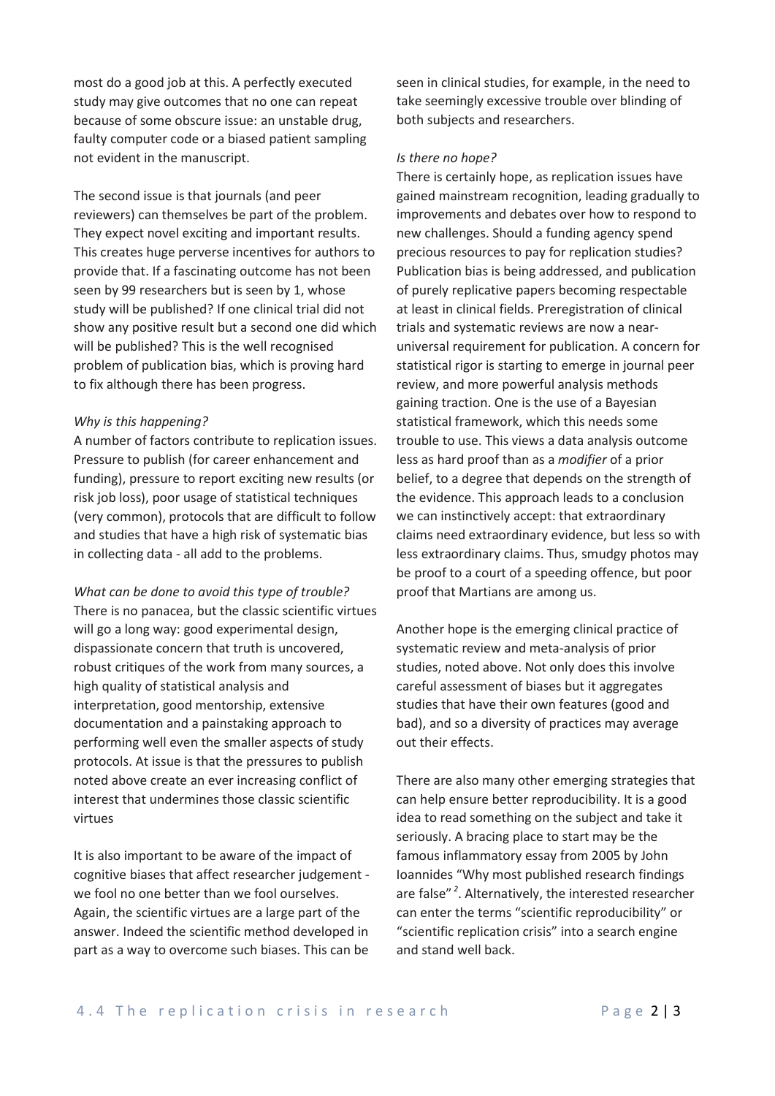most do a good job at this. A perfectly executed study may give outcomes that no one can repeat because of some obscure issue: an unstable drug, faulty computer code or a biased patient sampling not evident in the manuscript.

The second issue is that journals (and peer reviewers) can themselves be part of the problem. They expect novel exciting and important results. This creates huge perverse incentives for authors to provide that. If a fascinating outcome has not been seen by 99 researchers but is seen by 1, whose study will be published? If one clinical trial did not show any positive result but a second one did which will be published? This is the well recognised problem of publication bias, which is proving hard to fix although there has been progress.

#### *Why is this happening?*

A number of factors contribute to replication issues. Pressure to publish (for career enhancement and funding), pressure to report exciting new results (or risk job loss), poor usage of statistical techniques (very common), protocols that are difficult to follow and studies that have a high risk of systematic bias in collecting data - all add to the problems.

*What can be done to avoid this type of trouble?* There is no panacea, but the classic scientific virtues will go a long way: good experimental design, dispassionate concern that truth is uncovered, robust critiques of the work from many sources, a high quality of statistical analysis and interpretation, good mentorship, extensive documentation and a painstaking approach to performing well even the smaller aspects of study protocols. At issue is that the pressures to publish noted above create an ever increasing conflict of interest that undermines those classic scientific virtues

It is also important to be aware of the impact of cognitive biases that affect researcher judgement we fool no one better than we fool ourselves. Again, the scientific virtues are a large part of the answer. Indeed the scientific method developed in part as a way to overcome such biases. This can be seen in clinical studies, for example, in the need to take seemingly excessive trouble over blinding of both subjects and researchers.

#### *Is there no hope?*

There is certainly hope, as replication issues have gained mainstream recognition, leading gradually to improvements and debates over how to respond to new challenges. Should a funding agency spend precious resources to pay for replication studies? Publication bias is being addressed, and publication of purely replicative papers becoming respectable at least in clinical fields. Preregistration of clinical trials and systematic reviews are now a nearuniversal requirement for publication. A concern for statistical rigor is starting to emerge in journal peer review, and more powerful analysis methods gaining traction. One is the use of a Bayesian statistical framework, which this needs some trouble to use. This views a data analysis outcome less as hard proof than as a *modifier* of a prior belief, to a degree that depends on the strength of the evidence. This approach leads to a conclusion we can instinctively accept: that extraordinary claims need extraordinary evidence, but less so with less extraordinary claims. Thus, smudgy photos may be proof to a court of a speeding offence, but poor proof that Martians are among us.

Another hope is the emerging clinical practice of systematic review and meta-analysis of prior studies, noted above. Not only does this involve careful assessment of biases but it aggregates studies that have their own features (good and bad), and so a diversity of practices may average out their effects.

There are also many other emerging strategies that can help ensure better reproducibility. It is a good idea to read something on the subject and take it seriously. A bracing place to start may be the famous inflammatory essay from 2005 by John Ioannides "Why most published research findings are false" *<sup>2</sup>* . Alternatively, the interested researcher can enter the terms "scientific reproducibility" or "scientific replication crisis" into a search engine and stand well back.